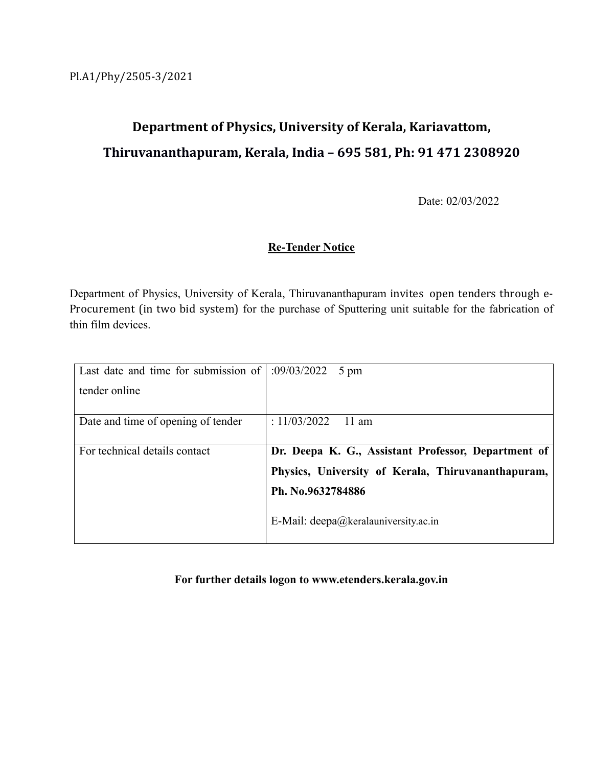# **Department of Physics, University of Kerala, Kariavattom, Thiruvananthapuram, Kerala, India – 695 581, Ph: 91 471 2308920**

Date: 02/03/2022

### **Re-Tender Notice**

Department of Physics, University of Kerala, Thiruvananthapuram invites open tenders through e- Procurement (in two bid system) for the purchase of Sputtering unit suitable for the fabrication of thin film devices.

| Last date and time for submission of $\mid$ :09/03/2022 5 pm |                                                             |
|--------------------------------------------------------------|-------------------------------------------------------------|
| tender online                                                |                                                             |
|                                                              |                                                             |
| Date and time of opening of tender                           | : 11/03/2022<br>$11$ am                                     |
|                                                              |                                                             |
| For technical details contact                                | Dr. Deepa K. G., Assistant Professor, Department of         |
|                                                              | Physics, University of Kerala, Thiruvananthapuram,          |
|                                                              | Ph. No.9632784886                                           |
|                                                              | E-Mail: $\text{deepa}(\hat{\omega})$ keralauniversity.ac.in |
|                                                              |                                                             |

### **For further details logon to www.etenders.kerala.gov.in**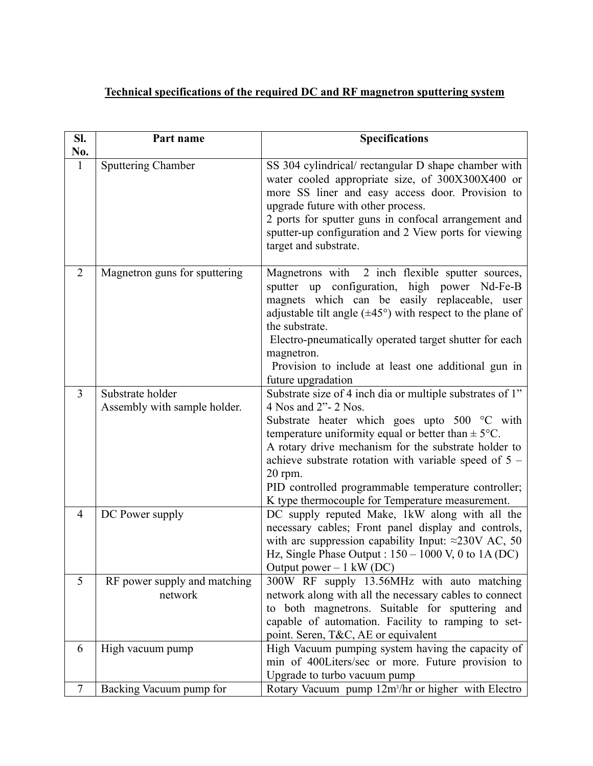## **Technical specifications of the required DC and RF magnetron sputtering system**

| SI.<br>No.     | Part name                                        | <b>Specifications</b>                                                                                                                                                                                                                                                                                                                                                                                                                |
|----------------|--------------------------------------------------|--------------------------------------------------------------------------------------------------------------------------------------------------------------------------------------------------------------------------------------------------------------------------------------------------------------------------------------------------------------------------------------------------------------------------------------|
| $\mathbf{1}$   | <b>Sputtering Chamber</b>                        | SS 304 cylindrical/ rectangular D shape chamber with<br>water cooled appropriate size, of 300X300X400 or<br>more SS liner and easy access door. Provision to<br>upgrade future with other process.<br>2 ports for sputter guns in confocal arrangement and<br>sputter-up configuration and 2 View ports for viewing<br>target and substrate.                                                                                         |
| $\overline{2}$ | Magnetron guns for sputtering                    | Magnetrons with 2 inch flexible sputter sources,<br>sputter up configuration, high power Nd-Fe-B<br>magnets which can be easily replaceable, user<br>adjustable tilt angle $(\pm 45^{\circ})$ with respect to the plane of<br>the substrate.<br>Electro-pneumatically operated target shutter for each<br>magnetron.<br>Provision to include at least one additional gun in<br>future upgradation                                    |
| $\overline{3}$ | Substrate holder<br>Assembly with sample holder. | Substrate size of 4 inch dia or multiple substrates of 1"<br>4 Nos and 2"- 2 Nos.<br>Substrate heater which goes upto 500 °C with<br>temperature uniformity equal or better than $\pm$ 5°C.<br>A rotary drive mechanism for the substrate holder to<br>achieve substrate rotation with variable speed of $5 -$<br>20 rpm.<br>PID controlled programmable temperature controller;<br>K type thermocouple for Temperature measurement. |
| $\overline{4}$ | DC Power supply                                  | DC supply reputed Make, 1kW along with all the<br>necessary cables; Front panel display and controls,<br>with arc suppression capability Input: $\approx$ 230V AC, 50<br>Hz, Single Phase Output : $150 - 1000$ V, 0 to 1A (DC)<br>Output power $-1$ kW (DC)                                                                                                                                                                         |
| 5              | RF power supply and matching<br>network          | 300W RF supply 13.56MHz with auto matching<br>network along with all the necessary cables to connect<br>to both magnetrons. Suitable for sputtering and<br>capable of automation. Facility to ramping to set-<br>point. Seren, T&C, AE or equivalent                                                                                                                                                                                 |
| 6              | High vacuum pump                                 | High Vacuum pumping system having the capacity of<br>min of 400Liters/sec or more. Future provision to<br>Upgrade to turbo vacuum pump                                                                                                                                                                                                                                                                                               |
| $\tau$         | Backing Vacuum pump for                          | Rotary Vacuum pump 12m <sup>3</sup> /hr or higher with Electro                                                                                                                                                                                                                                                                                                                                                                       |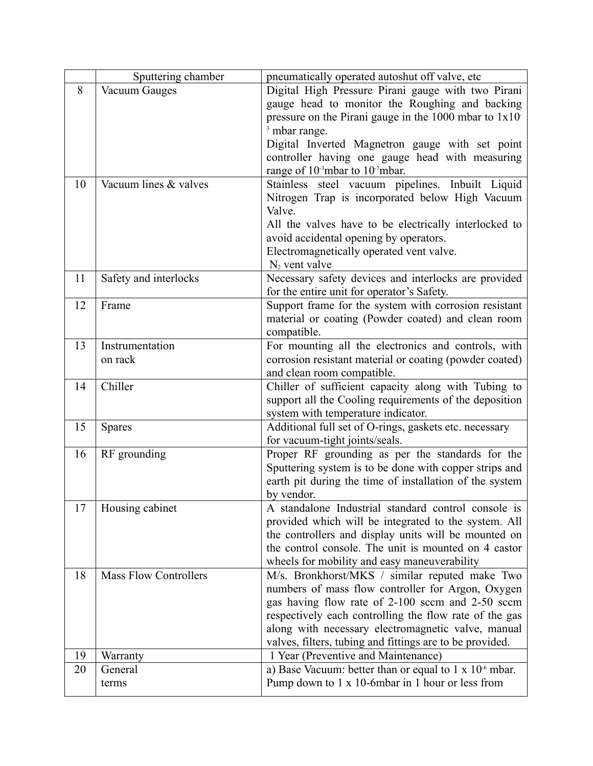|    | Sputtering chamber           | pneumatically operated autoshut off valve, etc                    |
|----|------------------------------|-------------------------------------------------------------------|
| 8  | Vacuum Gauges                | Digital High Pressure Pirani gauge with two Pirani                |
|    |                              | gauge head to monitor the Roughing and backing                    |
|    |                              | pressure on the Pirani gauge in the $1000$ mbar to $1x10$         |
|    |                              | <sup>3</sup> mbar range.                                          |
|    |                              | Digital Inverted Magnetron gauge with set point                   |
|    |                              | controller having one gauge head with measuring                   |
|    |                              | range of 10 <sup>-3</sup> mbar to 10 <sup>-7</sup> mbar.          |
| 10 | Vacuum lines & valves        | Stainless steel vacuum pipelines. Inbuilt Liquid                  |
|    |                              | Nitrogen Trap is incorporated below High Vacuum                   |
|    |                              | Valve.                                                            |
|    |                              | All the valves have to be electrically interlocked to             |
|    |                              | avoid accidental opening by operators.                            |
|    |                              | Electromagnetically operated vent valve.                          |
|    |                              | $N_2$ vent valve                                                  |
| 11 | Safety and interlocks        | Necessary safety devices and interlocks are provided              |
|    |                              | for the entire unit for operator's Safety.                        |
| 12 | Frame                        | Support frame for the system with corrosion resistant             |
|    |                              | material or coating (Powder coated) and clean room                |
|    |                              | compatible.                                                       |
| 13 | Instrumentation              | For mounting all the electronics and controls, with               |
|    | on rack                      | corrosion resistant material or coating (powder coated)           |
|    |                              | and clean room compatible.                                        |
| 14 | Chiller                      | Chiller of sufficient capacity along with Tubing to               |
|    |                              | support all the Cooling requirements of the deposition            |
|    |                              | system with temperature indicator.                                |
| 15 | <b>Spares</b>                | Additional full set of O-rings, gaskets etc. necessary            |
|    |                              | for vacuum-tight joints/seals.                                    |
| 16 |                              |                                                                   |
|    | RF grounding                 | Proper RF grounding as per the standards for the                  |
|    |                              | Sputtering system is to be done with copper strips and            |
|    |                              | earth pit during the time of installation of the system           |
|    |                              | by vendor.<br>A standalone Industrial standard control console is |
| 17 | Housing cabinet              |                                                                   |
|    |                              | provided which will be integrated to the system. All              |
|    |                              | the controllers and display units will be mounted on              |
|    |                              | the control console. The unit is mounted on 4 castor              |
|    |                              | wheels for mobility and easy maneuverability                      |
| 18 | <b>Mass Flow Controllers</b> | M/s. Bronkhorst/MKS / similar reputed make Two                    |
|    |                              | numbers of mass flow controller for Argon, Oxygen                 |
|    |                              | gas having flow rate of 2-100 sccm and 2-50 sccm                  |
|    |                              | respectively each controlling the flow rate of the gas            |
|    |                              | along with necessary electromagnetic valve, manual                |
|    |                              | valves, filters, tubing and fittings are to be provided.          |
| 19 | Warranty                     | 1 Year (Preventive and Maintenance)                               |
| 20 | General                      | a) Base Vacuum: better than or equal to $1 \times 10^{-6}$ mbar.  |
|    | terms                        | Pump down to 1 x 10-6mbar in 1 hour or less from                  |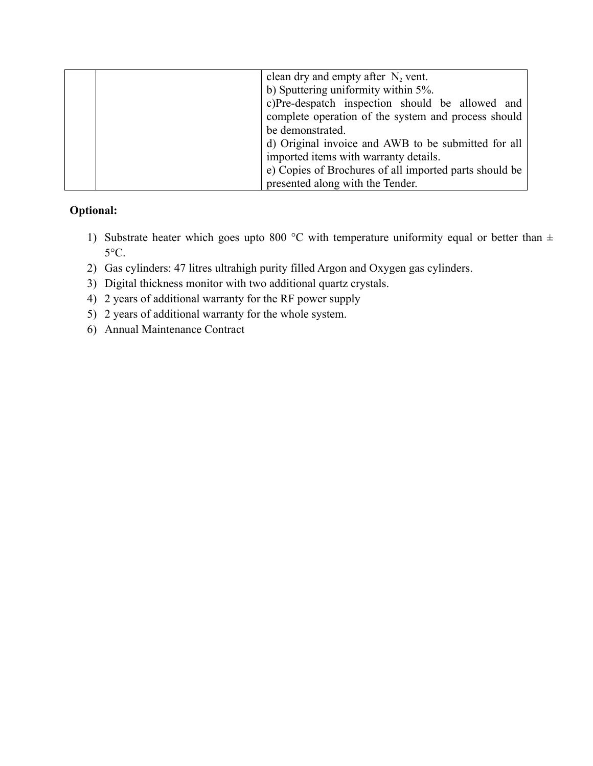| clean dry and empty after $N_2$ vent.                  |
|--------------------------------------------------------|
| b) Sputtering uniformity within 5%.                    |
| c)Pre-despatch inspection should be allowed and        |
| complete operation of the system and process should    |
| be demonstrated.                                       |
| d) Original invoice and AWB to be submitted for all    |
| imported items with warranty details.                  |
| e) Copies of Brochures of all imported parts should be |
| presented along with the Tender.                       |

## **Optional:**

- 1) Substrate heater which goes upto 800 °C with temperature uniformity equal or better than  $\pm$  $5^{\circ}$ C.
- 2) Gas cylinders: 47 litres ultrahigh purity filled Argon and Oxygen gas cylinders.
- 3) Digital thickness monitor with two additional quartz crystals.
- 4) 2 years of additional warranty for the RF power supply
- 5) 2 years of additional warranty for the whole system.
- 6) Annual Maintenance Contract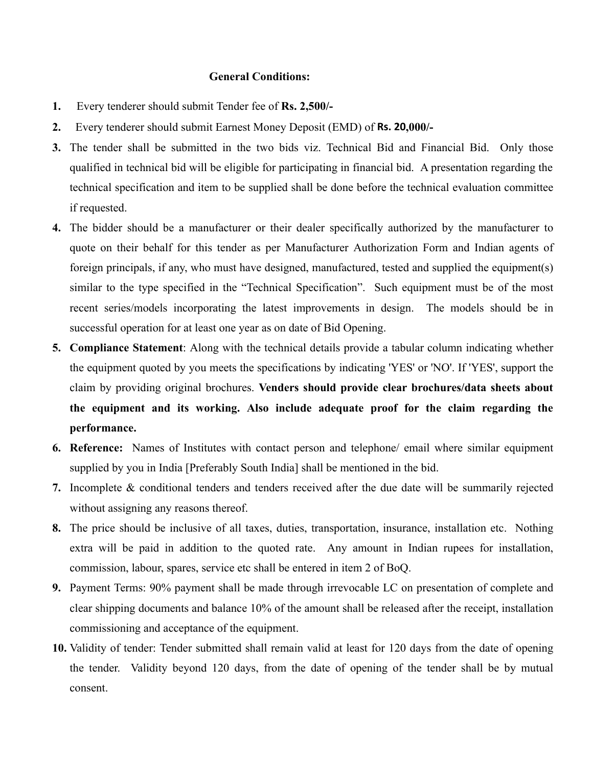#### **General Conditions:**

- **1.** Every tenderer should submit Tender fee of **Rs. 2,500/-**
- **2.** Every tenderer should submit Earnest Money Deposit (EMD) of **Rs. 20,000/-**
- **3.** The tender shall be submitted in the two bids viz. Technical Bid and Financial Bid. Only those qualified in technical bid will be eligible for participating in financial bid. A presentation regarding the technical specification and item to be supplied shall be done before the technical evaluation committee if requested.
- **4.** The bidder should be a manufacturer or their dealer specifically authorized by the manufacturer to quote on their behalf for this tender as per Manufacturer Authorization Form and Indian agents of foreign principals, if any, who must have designed, manufactured, tested and supplied the equipment(s) similar to the type specified in the "Technical Specification". Such equipment must be of the most recent series/models incorporating the latest improvements in design. The models should be in successful operation for at least one year as on date of Bid Opening.
- **5. Compliance Statement**: Along with the technical details provide a tabular column indicating whether the equipment quoted by you meets the specifications by indicating 'YES' or 'NO'. If 'YES', support the claim by providing original brochures. **Venders should provide clear brochures/data sheets about the equipment and its working. Also include adequate proof for the claim regarding the performance.**
- **6. Reference:** Names of Institutes with contact person and telephone/ email where similar equipment supplied by you in India [Preferably South India] shall be mentioned in the bid.
- **7.** Incomplete & conditional tenders and tenders received after the due date will be summarily rejected without assigning any reasons thereof.
- **8.** The price should be inclusive of all taxes, duties, transportation, insurance, installation etc. Nothing extra will be paid in addition to the quoted rate. Any amount in Indian rupees for installation, commission, labour, spares, service etc shall be entered in item 2 of BoQ.
- **9.** Payment Terms: 90% payment shall be made through irrevocable LC on presentation of complete and clear shipping documents and balance 10% of the amount shall be released after the receipt, installation commissioning and acceptance of the equipment.
- **10.** Validity of tender: Tender submitted shall remain valid at least for 120 days from the date of opening the tender. Validity beyond 120 days, from the date of opening of the tender shall be by mutual consent.